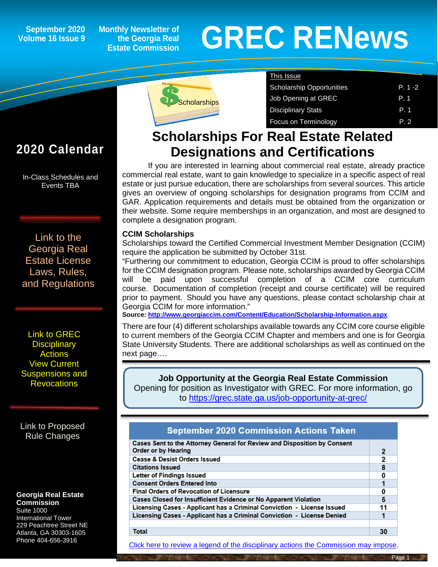## **September 2020 Volume 16 Issue 9**

**Monthly Newsletter of the Georgia Real Estate Commission**

# **GREC RENewsGREC RENews**

| Scholarships |
|--------------|
|              |

| <b>This Issue</b>                |       |
|----------------------------------|-------|
| <b>Scholarship Opportunities</b> | P 1-2 |
| Job Opening at GREC              | P. 1  |
| <b>Disciplinary Stats</b>        | P.1   |
| Focus on Terminology             | P. 2  |

# **Scholarships For Real Estate Related Designations and Certifications**

If you are interested in learning about commercial real estate, already practice commercial real estate, want to gain knowledge to specialize in a specific aspect of real estate or just pursue education, there are scholarships from several sources. This article gives an overview of ongoing scholarships for designation programs from CCIM and GAR. Application requirements and details must be obtained from the organization or their website. Some require memberships in an organization, and most are designed to complete a designation program.

## **CCIM Scholarships**

Scholarships toward the Certified Commercial Investment Member Designation (CCIM) require the application be submitted by October 31st.

"Furthering our commitment to education, Georgia CCIM is proud to offer scholarships for the CCIM designation program. Please note, scholarships awarded by Georgia CCIM will be paid upon successful completion of a CCIM core curriculum course. Documentation of completion (receipt and course certificate) will be required prior to payment. Should you have any questions, please contact scholarship chair at Georgia CCIM for more information."

**Source:<http://www.georgiaccim.com/Content/Education/Scholarship-Information.aspx>**

There are four (4) different scholarships available towards any CCIM core course eligible to current members of the Georgia CCIM Chapter and members and one is for Georgia State University Students. There are additional scholarships as well as continued on the next page….

**Job Opportunity at the Georgia Real Estate Commission** Opening for position as Investigator with GREC. For more information, go to<https://grec.state.ga.us/job-opportunity-at-grec/>

## **September 2020 Commission Actions Taken**

| Cases Sent to the Attorney General for Review and Disposition by Consent |    |  |
|--------------------------------------------------------------------------|----|--|
| Order or by Hearing                                                      | 2  |  |
| Cease & Desist Orders Issued                                             |    |  |
| <b>Citations Issued</b>                                                  |    |  |
| Letter of Findings Issued                                                |    |  |
| <b>Consent Orders Entered Into</b>                                       |    |  |
| <b>Final Orders of Revocation of Licensure</b>                           |    |  |
| Cases Closed for Insufficient Evidence or No Apparent Violation          |    |  |
| Licensing Cases - Applicant has a Criminal Conviction - License Issued   |    |  |
| Licensing Cases - Applicant has a Criminal Conviction - License Denied   |    |  |
|                                                                          |    |  |
| Total                                                                    | 30 |  |

[Click here to review a legend of the disciplinary actions the Commission may impose.](https://www.jmre.com/grec/GRECDisciplinaryTools.pdf)

## **2020 Calendar**

ĺ

In-Class Schedules and Events TBA

[Link to the](https://grec.state.ga.us/information-research/license-law/)  [Georgia Real](https://grec.state.ga.us/information-research/license-law/)  [Estate License](https://grec.state.ga.us/information-research/license-law/)  [Laws, Rules,](https://grec.state.ga.us/information-research/license-law/)  [and Regulations](https://grec.state.ga.us/information-research/license-law/)

[Link to GREC](http://www.grec.state.ga.us/about/resanctions.html)  **Disciplinary [Actions](http://www.grec.state.ga.us/about/resanctions.html)** View Current [Suspensions and](https://grec.state.ga.us/information-research/disciplinary-actions/real-estate/)  **Revocations** 

[Link to Proposed](https://grec.state.ga.us/information-research/disciplinary-actions/real-estate/)  [Rule Changes](https://grec.state.ga.us/information-research/legislation/real-estate/)

#### **Georgia Real Estate Commission**

Suite 1000 International Tower 229 Peachtree Street NE Atlanta, GA 30303-1605 Phone 404-656-3916